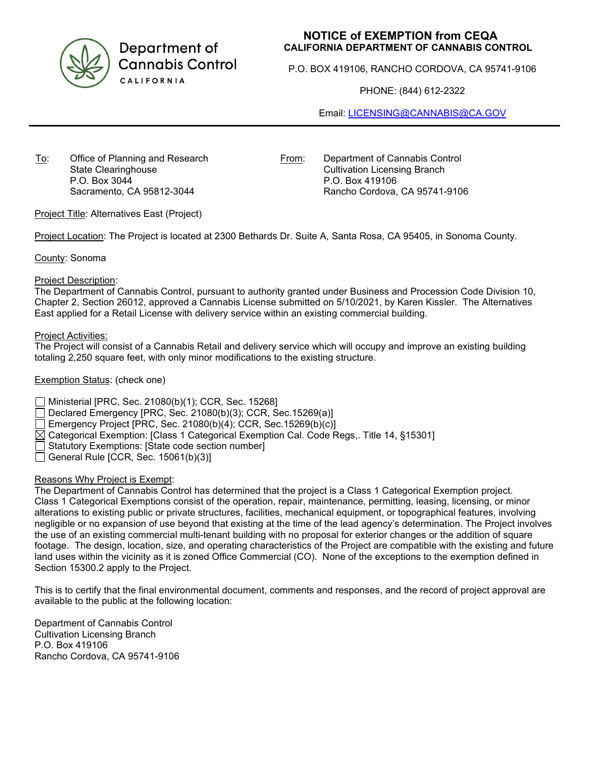

Department of **Cannabis Control** CALIFORNIA

## **NOTICE of EXEMPTION from CEQA CALIFORNIA DEPARTMENT OF CANNABIS CONTROL**

P.O. BOX 419106, RANCHO CORDOVA, CA 95741-9106

PHONE: (844) 612-2322

Email: [LICENSING@CANNABIS@CA.GOV](mailto:LICENSING@CANNABIS@CA.GOV)

To: Office of Planning and Research State Clearinghouse P.O. Box 3044 Sacramento, CA 95812-3044

From: Department of Cannabis Control Cultivation Licensing Branch P.O. Box 419106 Rancho Cordova, CA 95741-9106

Project Title: Alternatives East (Project)

Project Location: The Project is located at 2300 Bethards Dr. Suite A, Santa Rosa, CA 95405, in Sonoma County.

County: Sonoma

#### Project Description:

The Department of Cannabis Control, pursuant to authority granted under Business and Procession Code Division 10, Chapter 2, Section 26012, approved a Cannabis License submitted on 5/10/2021, by Karen Kissler. The Alternatives East applied for a Retail License with delivery service within an existing commercial building.

#### Project Activities:

The Project will consist of a Cannabis Retail and delivery service which will occupy and improve an existing building totaling 2,250 square feet, with only minor modifications to the existing structure.

#### Exemption Status: (check one)

Ministerial [PRC, Sec. 21080(b)(1); CCR, Sec. 15268]

Declared Emergency [PRC, Sec. 21080(b)(3); CCR, Sec.15269(a)]

Emergency Project [PRC, Sec. 21080(b)(4); CCR, Sec.15269(b)(c)]

 $\boxtimes$  Categorical Exemption: [Class 1 Categorical Exemption Cal. Code Regs,. Title 14, §15301]

Statutory Exemptions: [State code section number]

 $\Box$  General Rule [CCR, Sec. 15061(b)(3)]

### Reasons Why Project is Exempt:

The Department of Cannabis Control has determined that the project is a Class 1 Categorical Exemption project. Class 1 Categorical Exemptions consist of the operation, repair, maintenance, permitting, leasing, licensing, or minor alterations to existing public or private structures, facilities, mechanical equipment, or topographical features, involving negligible or no expansion of use beyond that existing at the time of the lead agency's determination. The Project involves the use of an existing commercial multi-tenant building with no proposal for exterior changes or the addition of square footage. The design, location, size, and operating characteristics of the Project are compatible with the existing and future land uses within the vicinity as it is zoned Office Commercial (CO). None of the exceptions to the exemption defined in Section 15300.2 apply to the Project.

This is to certify that the final environmental document, comments and responses, and the record of project approval are available to the public at the following location:

Department of Cannabis Control Cultivation Licensing Branch P.O. Box 419106 Rancho Cordova, CA 95741-9106